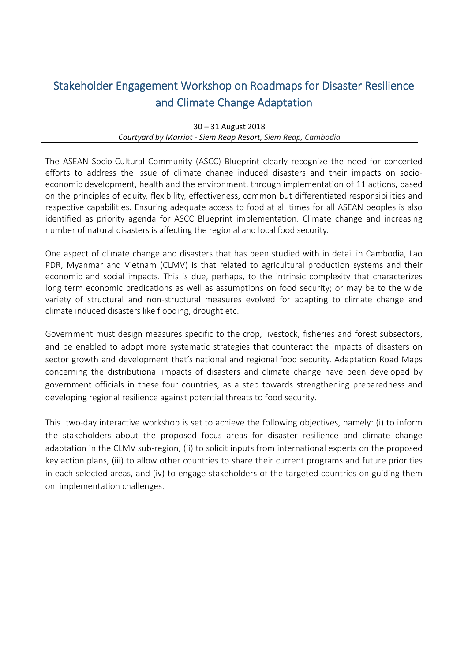# Stakeholder Engagement Workshop on Roadmaps for Disaster Resilience and Climate Change Adaptation

| $30 - 31$ August 2018                                        |  |
|--------------------------------------------------------------|--|
| Courtyard by Marriot - Siem Reap Resort, Siem Reap, Cambodia |  |

The ASEAN Socio‐Cultural Community (ASCC) Blueprint clearly recognize the need for concerted efforts to address the issue of climate change induced disasters and their impacts on socio‐ economic development, health and the environment, through implementation of 11 actions, based on the principles of equity, flexibility, effectiveness, common but differentiated responsibilities and respective capabilities. Ensuring adequate access to food at all times for all ASEAN peoples is also identified as priority agenda for ASCC Blueprint implementation. Climate change and increasing number of natural disasters is affecting the regional and local food security.

One aspect of climate change and disasters that has been studied with in detail in Cambodia, Lao PDR, Myanmar and Vietnam (CLMV) is that related to agricultural production systems and their economic and social impacts. This is due, perhaps, to the intrinsic complexity that characterizes long term economic predications as well as assumptions on food security; or may be to the wide variety of structural and non‐structural measures evolved for adapting to climate change and climate induced disasters like flooding, drought etc.

Government must design measures specific to the crop, livestock, fisheries and forest subsectors, and be enabled to adopt more systematic strategies that counteract the impacts of disasters on sector growth and development that's national and regional food security. Adaptation Road Maps concerning the distributional impacts of disasters and climate change have been developed by government officials in these four countries, as a step towards strengthening preparedness and developing regional resilience against potential threats to food security.

This two-day interactive workshop is set to achieve the following objectives, namely: (i) to inform the stakeholders about the proposed focus areas for disaster resilience and climate change adaptation in the CLMV sub-region, (ii) to solicit inputs from international experts on the proposed key action plans, (iii) to allow other countries to share their current programs and future priorities in each selected areas, and (iv) to engage stakeholders of the targeted countries on guiding them on implementation challenges.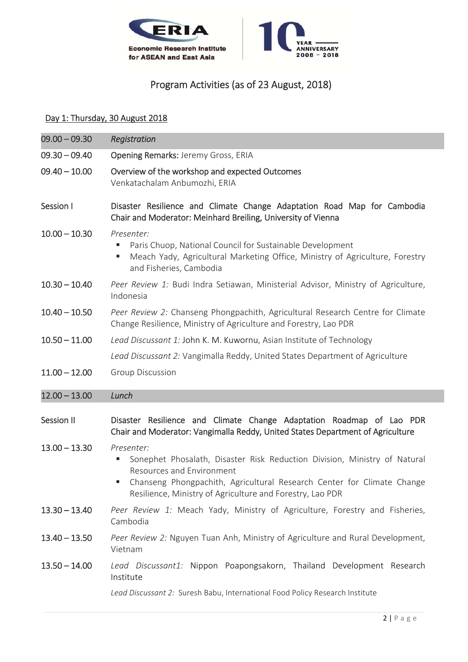



## Program Activities (as of 23 August, 2018)

### Day 1: Thursday, 30 August 2018

| $09.00 - 09.30$   | Registration                                                                                                                                                                                                                                                     |
|-------------------|------------------------------------------------------------------------------------------------------------------------------------------------------------------------------------------------------------------------------------------------------------------|
| $09.30 - 09.40$   | Opening Remarks: Jeremy Gross, ERIA                                                                                                                                                                                                                              |
| $09.40 - 10.00$   | Overview of the workshop and expected Outcomes<br>Venkatachalam Anbumozhi, ERIA                                                                                                                                                                                  |
| Session I         | Disaster Resilience and Climate Change Adaptation Road Map for Cambodia<br>Chair and Moderator: Meinhard Breiling, University of Vienna                                                                                                                          |
| $10.00 - 10.30$   | Presenter:<br>Paris Chuop, National Council for Sustainable Development<br>Е<br>Meach Yady, Agricultural Marketing Office, Ministry of Agriculture, Forestry<br>ш<br>and Fisheries, Cambodia                                                                     |
| $10.30 - 10.40$   | Peer Review 1: Budi Indra Setiawan, Ministerial Advisor, Ministry of Agriculture,<br>Indonesia                                                                                                                                                                   |
| $10.40 - 10.50$   | Peer Review 2: Chanseng Phongpachith, Agricultural Research Centre for Climate<br>Change Resilience, Ministry of Agriculture and Forestry, Lao PDR                                                                                                               |
| $10.50 - 11.00$   | Lead Discussant 1: John K. M. Kuwornu, Asian Institute of Technology                                                                                                                                                                                             |
|                   | Lead Discussant 2: Vangimalla Reddy, United States Department of Agriculture                                                                                                                                                                                     |
| $11.00 - 12.00$   | Group Discussion                                                                                                                                                                                                                                                 |
| $12.00 - 13.00$   | Lunch                                                                                                                                                                                                                                                            |
| <b>Session II</b> | Disaster Resilience and Climate Change Adaptation Roadmap of Lao PDR<br>Chair and Moderator: Vangimalla Reddy, United States Department of Agriculture                                                                                                           |
| $13.00 - 13.30$   | Presenter:<br>Sonephet Phosalath, Disaster Risk Reduction Division, Ministry of Natural<br>Е<br>Resources and Environment<br>Chanseng Phongpachith, Agricultural Research Center for Climate Change<br>Resilience, Ministry of Agriculture and Forestry, Lao PDR |
| $13.30 - 13.40$   | Peer Review 1: Meach Yady, Ministry of Agriculture, Forestry and Fisheries,<br>Cambodia                                                                                                                                                                          |
| $13.40 - 13.50$   | Peer Review 2: Nguyen Tuan Anh, Ministry of Agriculture and Rural Development,<br>Vietnam                                                                                                                                                                        |
| $13.50 - 14.00$   | Lead Discussant1: Nippon Poapongsakorn, Thailand Development Research<br>Institute                                                                                                                                                                               |
|                   | Lead Discussant 2: Suresh Babu, International Food Policy Research Institute                                                                                                                                                                                     |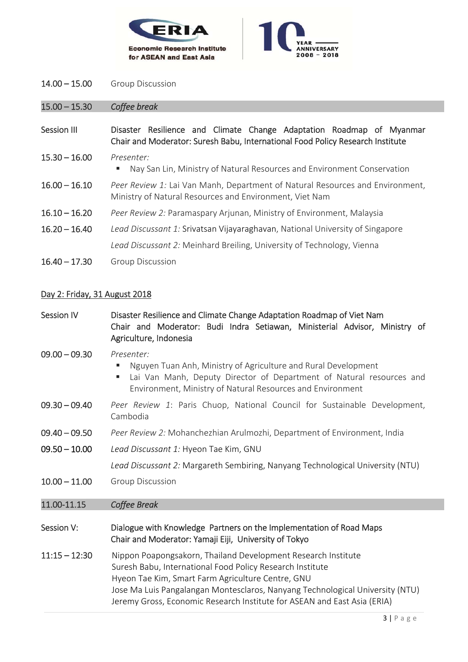



14.00 – 15.00 Group Discussion

15.00 – 15.30 *Coffee break* 

- Session III Disaster Resilience and Climate Change Adaptation Roadmap of Myanmar Chair and Moderator: Suresh Babu, International Food Policy Research Institute
- 15.30 16.00 *Presenter:* 
	- Nay San Lin, Ministry of Natural Resources and Environment Conservation
- 16.00 16.10 *Peer Review 1:* Lai Van Manh, Department of Natural Resources and Environment, Ministry of Natural Resources and Environment, Viet Nam
- 16.10 16.20 *Peer Review 2:* Paramaspary Arjunan, Ministry of Environment, Malaysia
- 16.20 16.40 *Lead Discussant 1:* Srivatsan Vijayaraghavan, National University of Singapore *Lead Discussant 2:* Meinhard Breiling, University of Technology, Vienna
- 16.40 17.30 Group Discussion

#### Day 2: Friday, 31 August 2018

Session IV Disaster Resilience and Climate Change Adaptation Roadmap of Viet Nam Chair and Moderator: Budi Indra Setiawan, Ministerial Advisor, Ministry of Agriculture, Indonesia

#### 09.00 – 09.30 *Presenter:*

- Nguyen Tuan Anh, Ministry of Agriculture and Rural Development
- Lai Van Manh, Deputy Director of Department of Natural resources and Environment, Ministry of Natural Resources and Environment
- 09.30 09.40 *Peer Review 1*: Paris Chuop, National Council for Sustainable Development, Cambodia
- 09.40 09.50 *Peer Review 2:* Mohanchezhian Arulmozhi, Department of Environment, India
- 09.50 10.00 *Lead Discussant 1:* Hyeon Tae Kim, GNU

*Lead Discussant 2:* Margareth Sembiring, Nanyang Technological University (NTU)

10.00 – 11.00 Group Discussion

#### 11.00‐11.15 *Coffee Break*

- Session V: Dialogue with Knowledge Partners on the Implementation of Road Maps Chair and Moderator: Yamaji Eiji, University of Tokyo
- 11:15 12:30 Nippon Poapongsakorn, Thailand Development Research Institute Suresh Babu, International Food Policy Research Institute Hyeon Tae Kim, Smart Farm Agriculture Centre, GNU Jose Ma Luis Pangalangan Montesclaros, Nanyang Technological University (NTU) Jeremy Gross, Economic Research Institute for ASEAN and East Asia (ERIA)